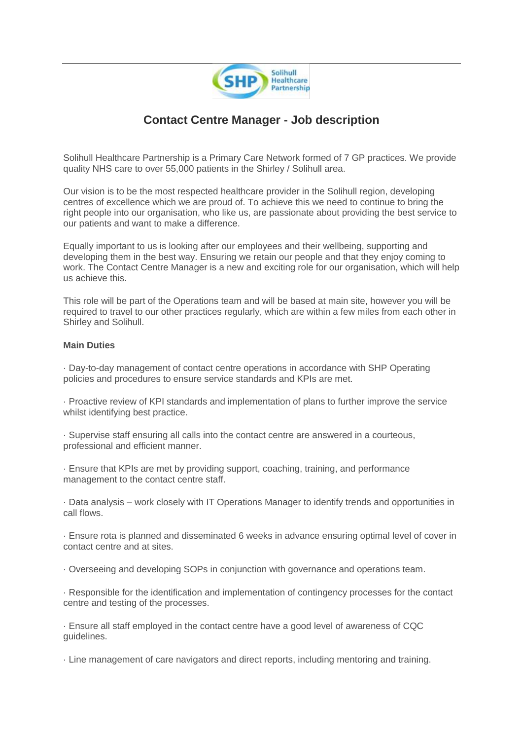

## **Contact Centre Manager - Job description**

Solihull Healthcare Partnership is a Primary Care Network formed of 7 GP practices. We provide quality NHS care to over 55,000 patients in the Shirley / Solihull area.

Our vision is to be the most respected healthcare provider in the Solihull region, developing centres of excellence which we are proud of. To achieve this we need to continue to bring the right people into our organisation, who like us, are passionate about providing the best service to our patients and want to make a difference.

Equally important to us is looking after our employees and their wellbeing, supporting and developing them in the best way. Ensuring we retain our people and that they enjoy coming to work. The Contact Centre Manager is a new and exciting role for our organisation, which will help us achieve this.

This role will be part of the Operations team and will be based at main site, however you will be required to travel to our other practices regularly, which are within a few miles from each other in Shirley and Solihull.

## **Main Duties**

· Day-to-day management of contact centre operations in accordance with SHP Operating policies and procedures to ensure service standards and KPIs are met.

· Proactive review of KPI standards and implementation of plans to further improve the service whilst identifying best practice.

· Supervise staff ensuring all calls into the contact centre are answered in a courteous, professional and efficient manner.

· Ensure that KPIs are met by providing support, coaching, training, and performance management to the contact centre staff.

· Data analysis – work closely with IT Operations Manager to identify trends and opportunities in call flows.

· Ensure rota is planned and disseminated 6 weeks in advance ensuring optimal level of cover in contact centre and at sites.

· Overseeing and developing SOPs in conjunction with governance and operations team.

· Responsible for the identification and implementation of contingency processes for the contact centre and testing of the processes.

· Ensure all staff employed in the contact centre have a good level of awareness of CQC guidelines.

· Line management of care navigators and direct reports, including mentoring and training.